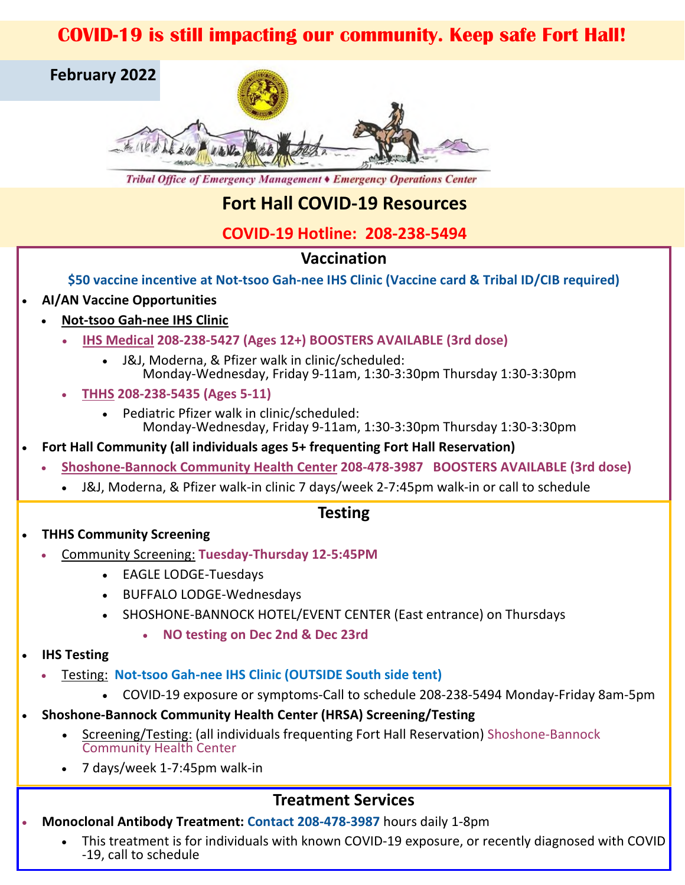# **COVID-19 is still impacting our community. Keep safe Fort Hall!**



Tribal Office of Emergency Management CEmergency Operations Center

# **Fort Hall COVID-19 Resources**

## **COVID-19 Hotline: 208-238-5494**

### **Vaccination**

**\$50 vaccine incentive at Not-tsoo Gah-nee IHS Clinic (Vaccine card & Tribal ID/CIB required)** 

#### • **AI/AN Vaccine Opportunities**

- **Not-tsoo Gah-nee IHS Clinic**
	- **IHS Medical 208-238-5427 (Ages 12+) BOOSTERS AVAILABLE (3rd dose)**
		- J&J, Moderna, & Pfizer walk in clinic/scheduled: Monday-Wednesday, Friday 9-11am, 1:30-3:30pm Thursday 1:30-3:30pm
	- **THHS 208-238-5435 (Ages 5-11)**
		- Pediatric Pfizer walk in clinic/scheduled: Monday-Wednesday, Friday 9-11am, 1:30-3:30pm Thursday 1:30-3:30pm
- **Fort Hall Community (all individuals ages 5+ frequenting Fort Hall Reservation)**
	- **Shoshone-Bannock Community Health Center 208-478-3987 BOOSTERS AVAILABLE (3rd dose)**
		- J&J, Moderna, & Pfizer walk-in clinic 7 days/week 2-7:45pm walk-in or call to schedule

### **Testing**

- **THHS Community Screening**
	- Community Screening: **Tuesday-Thursday 12-5:45PM**
		- EAGLE LODGE-Tuesdays
		- BUFFALO LODGE-Wednesdays
		- SHOSHONE-BANNOCK HOTEL/EVENT CENTER (East entrance) on Thursdays
			- **NO testing on Dec 2nd & Dec 23rd**

#### • **IHS Testing**

- Testing: **Not-tsoo Gah-nee IHS Clinic (OUTSIDE South side tent)**
	- COVID-19 exposure or symptoms-Call to schedule 208-238-5494 Monday-Friday 8am-5pm
- **Shoshone-Bannock Community Health Center (HRSA) Screening/Testing**
	- Screening/Testing: (all individuals frequenting Fort Hall Reservation) Shoshone-Bannock Community Health Center
	- 7 days/week 1-7:45pm walk-in

## **Treatment Services**

- **Monoclonal Antibody Treatment: Contact 208-478-3987** hours daily 1-8pm
	- This treatment is for individuals with known COVID-19 exposure, or recently diagnosed with COVID -19, call to schedule